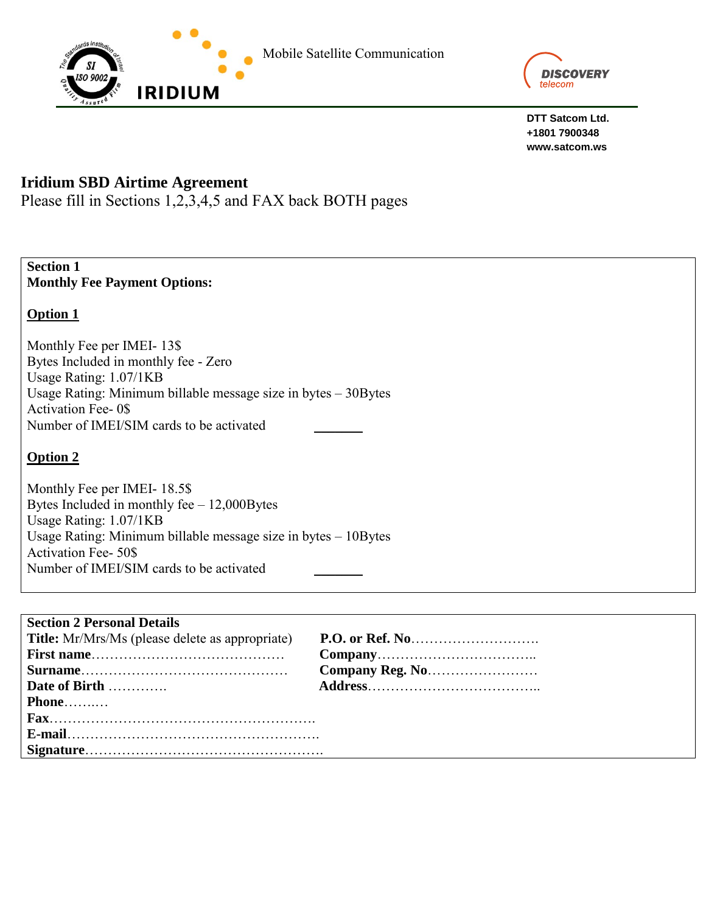

**DTT Satcom Ltd. +1801 7900348 www.satcom.ws**

# **Iridium SBD Airtime Agreement**

Please fill in Sections 1,2,3,4,5 and FAX back BOTH pages

**Section 1 Monthly Fee Payment Options:**

# **Option 1**

Monthly Fee per IMEI- 13\$ Bytes Included in monthly fee - Zero Usage Rating: 1.07/1KB Usage Rating: Minimum billable message size in bytes – 30Bytes Activation Fee- 0\$ Number of IMEI/SIM cards to be activated

# **Option 2**

Monthly Fee per IMEI- 18.5\$ Bytes Included in monthly fee – 12,000Bytes Usage Rating: 1.07/1KB Usage Rating: Minimum billable message size in bytes – 10Bytes Activation Fee- 50\$ Number of IMEI/SIM cards to be activated

| <b>Section 2 Personal Details</b>                      |  |
|--------------------------------------------------------|--|
| <b>Title:</b> Mr/Mrs/Ms (please delete as appropriate) |  |
|                                                        |  |
|                                                        |  |
| Date of Birth                                          |  |
| Phone                                                  |  |
|                                                        |  |
|                                                        |  |
|                                                        |  |
|                                                        |  |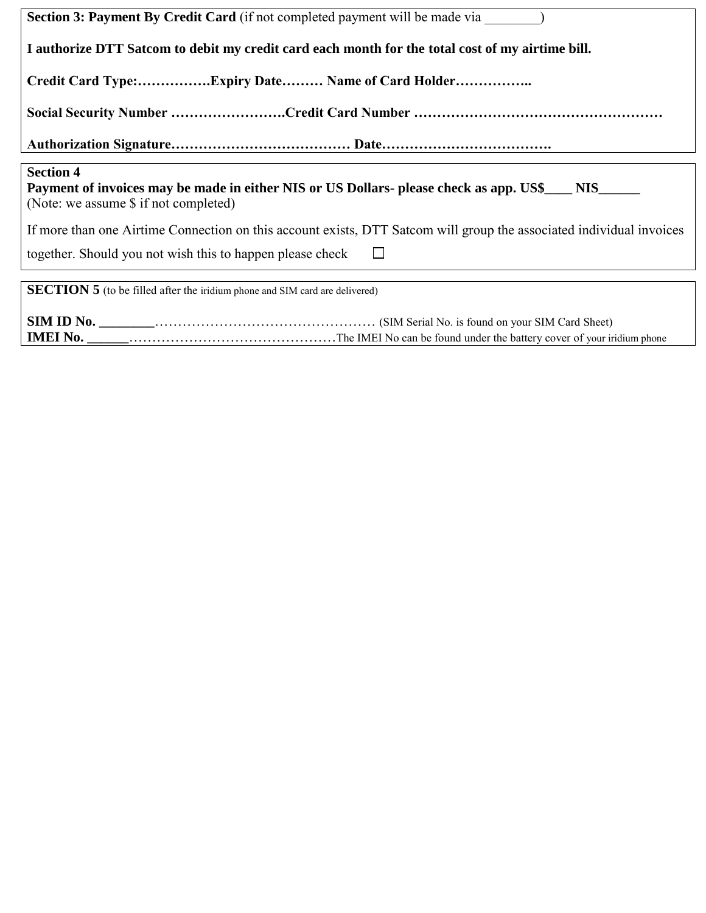| <b>Section 3: Payment By Credit Card</b> (if not completed payment will be made via                                                                                               |  |
|-----------------------------------------------------------------------------------------------------------------------------------------------------------------------------------|--|
| I authorize DTT Satcom to debit my credit card each month for the total cost of my airtime bill.                                                                                  |  |
| Credit Card Type:Expiry Date Name of Card Holder                                                                                                                                  |  |
|                                                                                                                                                                                   |  |
|                                                                                                                                                                                   |  |
| <b>Section 4</b><br>Payment of invoices may be made in either NIS or US Dollars- please check as app. US\$____ NIS______<br>(Note: we assume \$ if not completed)                 |  |
| If more than one Airtime Connection on this account exists, DTT Satcom will group the associated individual invoices<br>together. Should you not wish this to happen please check |  |
| <b>SECTION 5</b> (to be filled after the iridium phone and SIM card are delivered)                                                                                                |  |
|                                                                                                                                                                                   |  |

**IMEI No. \_\_\_\_\_\_**………………………………………The IMEI No can be found under the battery cover of your iridium phone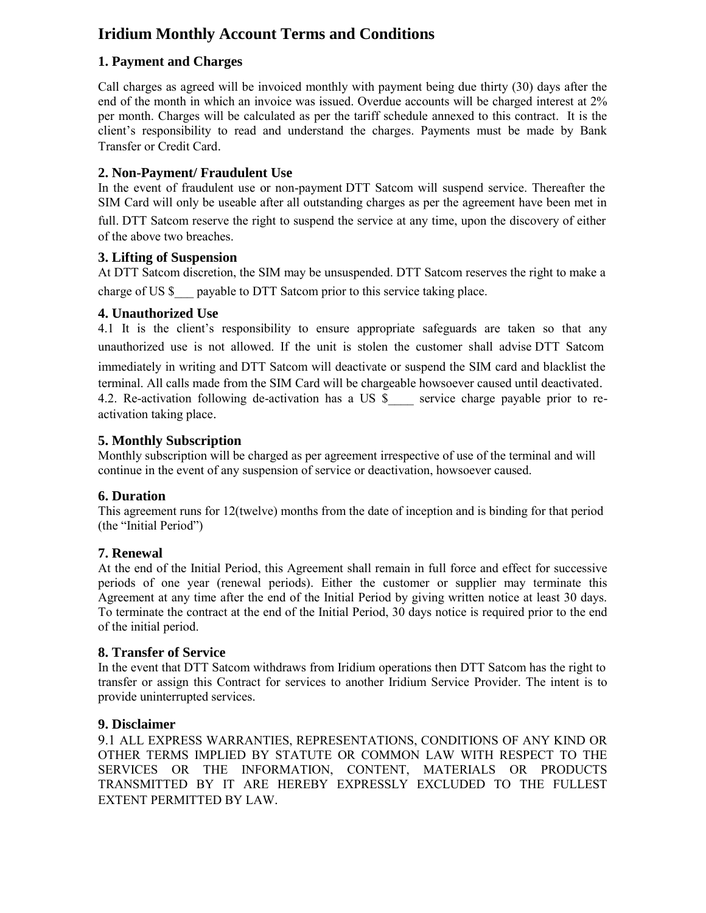# **Iridium Monthly Account Terms and Conditions**

# **1. Payment and Charges**

Call charges as agreed will be invoiced monthly with payment being due thirty (30) days after the end of the month in which an invoice was issued. Overdue accounts will be charged interest at 2% per month. Charges will be calculated as per the tariff schedule annexed to this contract. It is the client's responsibility to read and understand the charges. Payments must be made by Bank Transfer or Credit Card.

# **2. Non-Payment/ Fraudulent Use**

In the event of fraudulent use or non-payment DTT Satcom will suspend service. Thereafter the SIM Card will only be useable after all outstanding charges as per the agreement have been met in full. DTT Satcom reserve the right to suspend the service at any time, upon the discovery of either of the above two breaches.

## **3. Lifting of Suspension**

At DTT Satcom discretion, the SIM may be unsuspended. DTT Satcom reserves the right to make a charge of US \$ payable to DTT Satcom prior to this service taking place.

## **4. Unauthorized Use**

4.1 It is the client's responsibility to ensure appropriate safeguards are taken so that any unauthorized use is not allowed. If the unit is stolen the customer shall advise DTT Satcom immediately in writing and DTT Satcom will deactivate or suspend the SIM card and blacklist the terminal. All calls made from the SIM Card will be chargeable howsoever caused until deactivated. 4.2. Re-activation following de-activation has a US \$ service charge payable prior to reactivation taking place.

## **5. Monthly Subscription**

Monthly subscription will be charged as per agreement irrespective of use of the terminal and will continue in the event of any suspension of service or deactivation, howsoever caused.

#### **6. Duration**

This agreement runs for 12(twelve) months from the date of inception and is binding for that period (the "Initial Period")

# **7. Renewal**

At the end of the Initial Period, this Agreement shall remain in full force and effect for successive periods of one year (renewal periods). Either the customer or supplier may terminate this Agreement at any time after the end of the Initial Period by giving written notice at least 30 days. To terminate the contract at the end of the Initial Period, 30 days notice is required prior to the end of the initial period.

#### **8. Transfer of Service**

In the event that DTT Satcom withdraws from Iridium operations then DTT Satcom has the right to transfer or assign this Contract for services to another Iridium Service Provider. The intent is to provide uninterrupted services.

#### **9. Disclaimer**

9.1 ALL EXPRESS WARRANTIES, REPRESENTATIONS, CONDITIONS OF ANY KIND OR OTHER TERMS IMPLIED BY STATUTE OR COMMON LAW WITH RESPECT TO THE SERVICES OR THE INFORMATION, CONTENT, MATERIALS OR PRODUCTS TRANSMITTED BY IT ARE HEREBY EXPRESSLY EXCLUDED TO THE FULLEST EXTENT PERMITTED BY LAW.